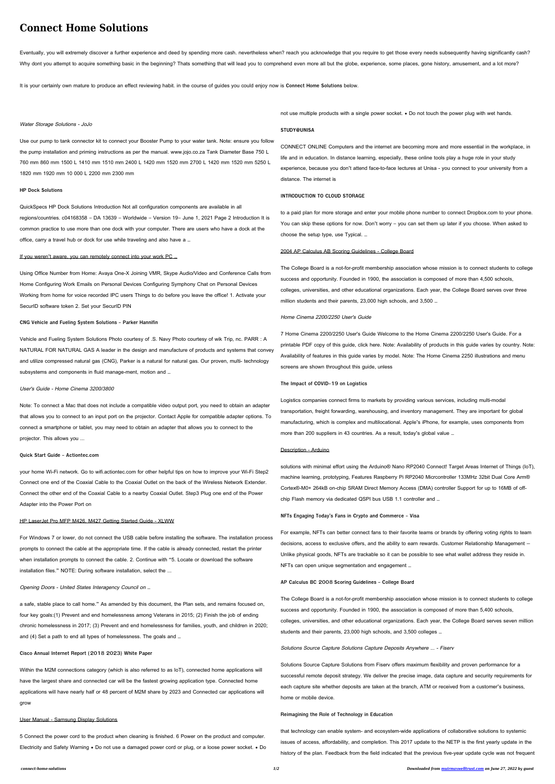Eventually, you will extremely discover a further experience and deed by spending more cash. nevertheless when? reach you acknowledge that you require to get those every needs subsequently having significantly cash? Why dont you attempt to acquire something basic in the beginning? Thats something that will lead you to comprehend even more all but the globe, experience, some places, gone history, amusement, and a lot more?

# **Connect Home Solutions**

It is your certainly own mature to produce an effect reviewing habit. in the course of guides you could enjoy now is **Connect Home Solutions** below.

## Water Storage Solutions - JoJo

Using Office Number from Home: Avaya One-X Joining VMR, Skype Audio/Video and Conference Calls from Home Configuring Work Emails on Personal Devices Configuring Symphony Chat on Personal Devices Working from home for voice recorded IPC users Things to do before you leave the office! 1. Activate your SecurID software token 2. Set your SecurID PIN

Use our pump to tank connector kit to connect your Booster Pump to your water tank. Note: ensure you follow the pump installation and priming instructions as per the manual. www.jojo.co.za Tank Diameter Base 750 L 760 mm 860 mm 1500 L 1410 mm 1510 mm 2400 L 1420 mm 1520 mm 2700 L 1420 mm 1520 mm 5250 L 1820 mm 1920 mm 10 000 L 2200 mm 2300 mm

# **HP Dock Solutions**

QuickSpecs HP Dock Solutions Introduction Not all configuration components are available in all regions/countries. c04168358 – DA 13639 – Worldwide – Version 19– June 1, 2021 Page 2 Introduction It is common practice to use more than one dock with your computer. There are users who have a dock at the office, carry a travel hub or dock for use while traveling and also have a …

#### If you weren't aware, you can remotely connect into your work PC …

#### **CNG Vehicle and Fueling System Solutions - Parker Hannifin**

Vehicle and Fueling System Solutions Photo courtesy of .S. Navy Photo courtesy of wik Trip, nc. PARR : A NATURAL FOR NATURAL GAS A leader in the design and manufacture of products and systems that convey and utilize compressed natural gas (CNG), Parker is a natural for natural gas. Our proven, multi- technology subsystems and components in fluid manage-ment, motion and …

Within the M2M connections category (which is also referred to as IoT), connected home applications will have the largest share and connected car will be the fastest growing application type. Connected home applications will have nearly half or 48 percent of M2M share by 2023 and Connected car applications will grow

## User's Guide - Home Cinema 3200/3800

Note: To connect a Mac that does not include a compatible video output port, you need to obtain an adapter that allows you to connect to an input port on the projector. Contact Apple for compatible adapter options. To connect a smartphone or tablet, you may need to obtain an adapter that allows you to connect to the projector. This allows you ...

### **Quick Start Guide - Actiontec.com**

your home Wi-Fi network. Go to wifi.actiontec.com for other helpful tips on how to improve your Wi-Fi Step2 Connect one end of the Coaxial Cable to the Coaxial Outlet on the back of the Wireless Network Extender. Connect the other end of the Coaxial Cable to a nearby Coaxial Outlet. Step3 Plug one end of the Power Adapter into the Power Port on

## HP LaserJet Pro MFP M426, M427 Getting Started Guide - XLWW

For Windows 7 or lower, do not connect the USB cable before installing the software. The installation process prompts to connect the cable at the appropriate time. If the cable is already connected, restart the printer when installation prompts to connect the cable. 2. Continue with "5. Locate or download the software installation files." NOTE: During software installation, select the ...

solutions with minimal effort using the Arduino® Nano RP2040 Connect! Target Areas Internet of Things (IoT), machine learning, prototyping, Features Raspberry Pi RP2040 Micrcontroller 133MHz 32bit Dual Core Arm® Cortex®-M0+ 264kB on-chip SRAM Direct Memory Access (DMA) controller Support for up to 16MB of offchip Flash memory via dedicated QSPI bus USB 1.1 controller and …

#### Opening Doors - United States Interagency Council on …

a safe, stable place to call home." As amended by this document, the Plan sets, and remains focused on, four key goals:(1) Prevent and end homelessness among Veterans in 2015; (2) Finish the job of ending chronic homelessness in 2017; (3) Prevent and end homelessness for families, youth, and children in 2020; and (4) Set a path to end all types of homelessness. The goals and …

#### **Cisco Annual Internet Report (2018 2023) White Paper**

#### User Manual - Samsung Display Solutions

5 Connect the power cord to the product when cleaning is finished. 6 Power on the product and computer. Electricity and Safety Warning • Do not use a damaged power cord or plug, or a loose power socket. • Do not use multiple products with a single power socket. • Do not touch the power plug with wet hands.

# **STUDY@UNISA**

CONNECT ONLINE Computers and the internet are becoming more and more essential in the workplace, in life and in education. In distance learning, especially, these online tools play a huge role in your study experience, because you don't attend face-to-face lectures at Unisa - you connect to your university from a distance. The internet is

## **INTRODUCTION TO CLOUD STORAGE**

to a paid plan for more storage and enter your mobile phone number to connect Dropbox.com to your phone. You can skip these options for now. Don't worry – you can set them up later if you choose. When asked to choose the setup type, use Typical. …

#### 2004 AP Calculus AB Scoring Guidelines - College Board

The College Board is a not-for-profit membership association whose mission is to connect students to college success and opportunity. Founded in 1900, the association is composed of more than 4,500 schools, colleges, universities, and other educational organizations. Each year, the College Board serves over three million students and their parents, 23,000 high schools, and 3,500 …

## Home Cinema 2200/2250 User's Guide

7 Home Cinema 2200/2250 User's Guide Welcome to the Home Cinema 2200/2250 User's Guide. For a printable PDF copy of this guide, click here. Note: Availability of products in this guide varies by country. Note: Availability of features in this guide varies by model. Note: The Home Cinema 2250 illustrations and menu screens are shown throughout this guide, unless

# **The Impact of COVID-19 on Logistics**

Logistics companies connect firms to markets by providing various services, including multi-modal transportation, freight forwarding, warehousing, and inventory management. They are important for global

manufacturing, which is complex and multilocational. Apple's iPhone, for example, uses components from more than 200 suppliers in 43 countries. As a result, today's global value …

#### Description - Arduino

**NFTs Engaging Today's Fans in Crypto and Commerce - Visa**

For example, NFTs can better connect fans to their favorite teams or brands by offering voting rights to team decisions, access to exclusive offers, and the ability to earn rewards. Customer Relationship Management — Unlike physical goods, NFTs are trackable so it can be possible to see what wallet address they reside in. NFTs can open unique segmentation and engagement …

#### **AP Calculus BC 2008 Scoring Guidelines - College Board**

The College Board is a not-for-profit membership association whose mission is to connect students to college success and opportunity. Founded in 1900, the association is composed of more than 5,400 schools, colleges, universities, and other educational organizations. Each year, the College Board serves seven million students and their parents, 23,000 high schools, and 3,500 colleges …

#### Solutions Source Capture Solutions Capture Deposits Anywhere ... - Fiserv

Solutions Source Capture Solutions from Fiserv offers maximum flexibility and proven performance for a successful remote deposit strategy. We deliver the precise image, data capture and security requirements for each capture site whether deposits are taken at the branch, ATM or received from a customer's business, home or mobile device.

#### **Reimagining the Role of Technology in Education**

that technology can enable system- and ecosystem-wide applications of collaborative solutions to systemic issues of access, affordability, and completion. This 2017 update to the NETP is the first yearly update in the history of the plan. Feedback from the field indicated that the previous five-year update cycle was not frequent